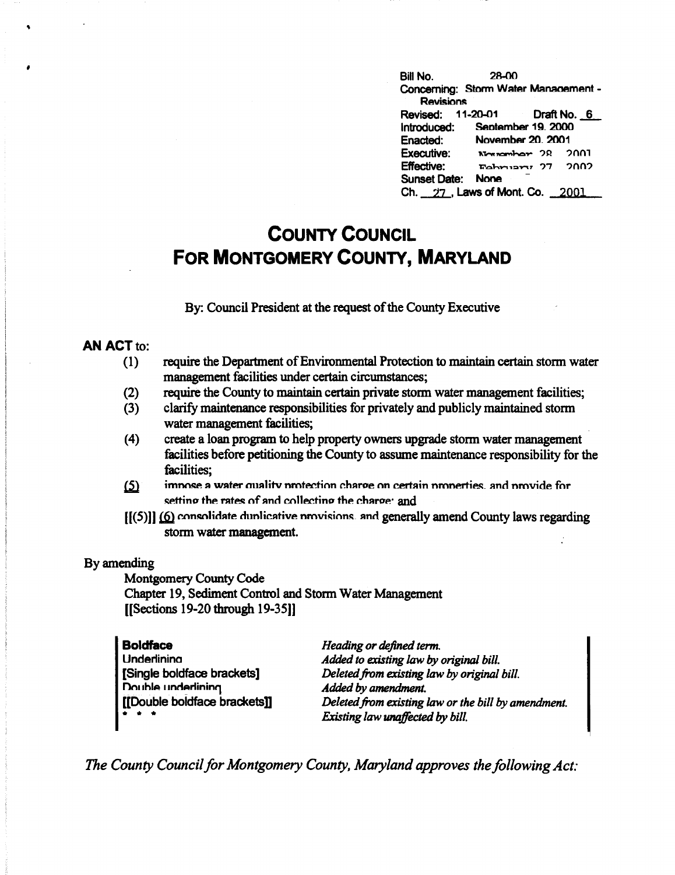Bill No. **28-00** Concerning: Storm Water Management -**Revisions** Revised: 11-20-01 Draft No. 6 Introduced: September 19. 2000 Enacted: **November 20, 2001 Executive:** Normanhor 28 2001 **Effective:** Fehrism, 27 2002 Sunset Date: None Ch. 27, Laws of Mont. Co. 2001

## **COUNTY COUNCIL** FOR MONTGOMERY COUNTY, MARYLAND

By: Council President at the request of the County Executive

### **AN ACT to:**

- require the Department of Environmental Protection to maintain certain storm water  $(1)$ management facilities under certain circumstances:
- require the County to maintain certain private storm water management facilities;  $(2)$
- $(3)$ clarify maintenance responsibilities for privately and publicly maintained storm water management facilities;
- create a loan program to help property owners upgrade storm water management  $(4)$ facilities before petitioning the County to assume maintenance responsibility for the facilities:
- $(5)$ impose a water quality protection charge on certain properties, and provide for setting the rates of and collecting the charge: and
- $[ (5) ]$  (6) consolidate dunlicative provisions, and generally amend County laws regarding storm water management.

### By amending

**Montgomery County Code** Chapter 19, Sediment Control and Storm Water Management [[Sections 19-20 through 19-35]]

| <b>Boldface</b>                                                                   | Heading or defined term.                            |
|-----------------------------------------------------------------------------------|-----------------------------------------------------|
| <b>Underlining</b>                                                                | Added to existing law by original bill.             |
| [Single boldface brackets]                                                        | Deleted from existing law by original bill.         |
| Double underlining                                                                | Added by amendment.                                 |
| [[Double boldface brackets]]                                                      | Deleted from existing law or the bill by amendment. |
| $\begin{array}{cccccccccccccc} \bullet & \bullet & \bullet & \bullet \end{array}$ | Existing law unaffected by bill.                    |

The County Council for Montgomery County, Maryland approves the following Act: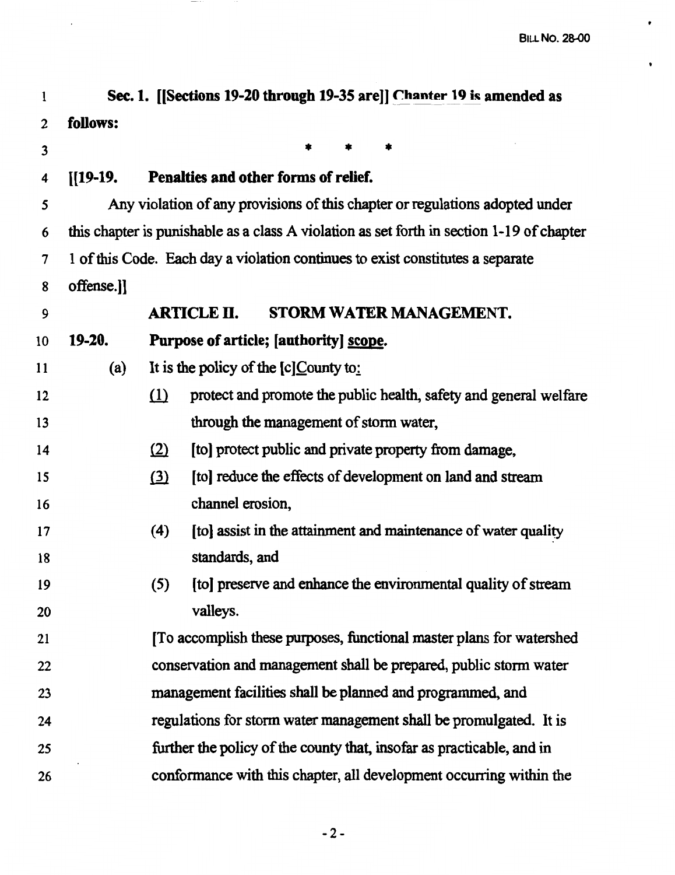| 1                |            | Sec. 1. [[Sections 19-20 through 19-35 are]] Chanter 19 is amended as                     |
|------------------|------------|-------------------------------------------------------------------------------------------|
| $\boldsymbol{2}$ | follows:   |                                                                                           |
| 3                |            |                                                                                           |
| 4                | $[[19-19]$ | Penalties and other forms of relief.                                                      |
| 5                |            | Any violation of any provisions of this chapter or regulations adopted under              |
| 6                |            | this chapter is punishable as a class A violation as set forth in section 1-19 of chapter |
| 7                |            | 1 of this Code. Each day a violation continues to exist constitutes a separate            |
| 8                | offense.]] |                                                                                           |
| 9                |            | <b>ARTICLE II.</b><br>STORM WATER MANAGEMENT.                                             |
| 10               | 19-20.     | Purpose of article; [authority] scope.                                                    |
| 11               | (a)        | It is the policy of the $[c]$ County to:                                                  |
| 12               |            | $\Omega$<br>protect and promote the public health, safety and general welfare             |
| 13               |            | through the management of storm water,                                                    |
| 14               |            | (2)<br>[to] protect public and private property from damage,                              |
| 15               |            | $\Omega$<br>[to] reduce the effects of development on land and stream                     |
| 16               |            | channel erosion,                                                                          |
| 17               |            | (4)<br>[to] assist in the attainment and maintenance of water quality                     |
| 18               |            | standards, and                                                                            |
| 19               |            | (5)<br>[to] preserve and enhance the environmental quality of stream                      |
| 20               |            | valleys.                                                                                  |
| 21               |            | [To accomplish these purposes, functional master plans for watershed                      |
| 22               |            | conservation and management shall be prepared, public storm water                         |
| 23               |            | management facilities shall be planned and programmed, and                                |
| 24               |            | regulations for storm water management shall be promulgated. It is                        |
| 25               |            | further the policy of the county that, insofar as practicable, and in                     |
| 26               |            | conformance with this chapter, all development occurring within the                       |
|                  |            |                                                                                           |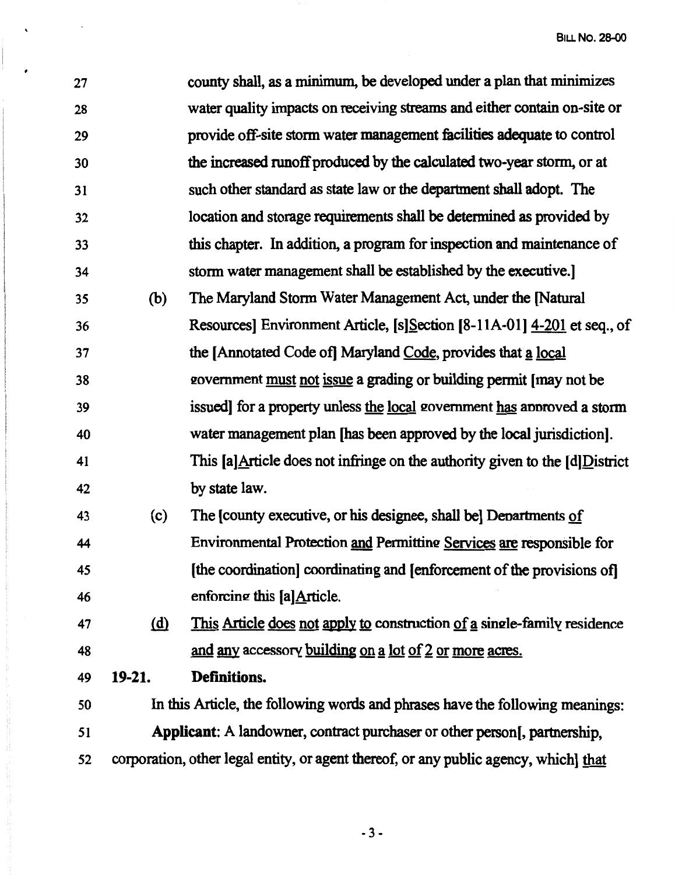| 27 |              | county shall, as a minimum, be developed under a plan that minimizes                          |
|----|--------------|-----------------------------------------------------------------------------------------------|
| 28 |              | water quality impacts on receiving streams and either contain on-site or                      |
| 29 |              | provide off-site storm water management facilities adequate to control                        |
| 30 |              | the increased runoff produced by the calculated two-year storm, or at                         |
| 31 |              | such other standard as state law or the department shall adopt. The                           |
| 32 |              | location and storage requirements shall be determined as provided by                          |
| 33 |              | this chapter. In addition, a program for inspection and maintenance of                        |
| 34 |              | storm water management shall be established by the executive.                                 |
| 35 | (b)          | The Maryland Storm Water Management Act, under the [Natural]                                  |
| 36 |              | Resources] Environment Article, [s] Section [8-11A-01] 4-201 et seq., of                      |
| 37 |              | the [Annotated Code of] Maryland Code, provides that a local                                  |
| 38 |              | government must not issue a grading or building permit [may not be                            |
| 39 |              | issued] for a property unless the local government has approved a storm                       |
| 40 |              | water management plan [has been approved by the local jurisdiction].                          |
| 41 |              | This [a] $\Delta$ rticle does not infringe on the authority given to the [d] $\Delta$ istrict |
| 42 |              | by state law.                                                                                 |
| 43 | (c)          | The [county executive, or his designee, shall be] Departments of                              |
| 44 |              | Environmental Protection and Permitting Services are responsible for                          |
| 45 |              | [the coordination] coordinating and [enforcement of the provisions of]                        |
| 46 |              | enforcing this [a] Article.                                                                   |
| 47 | ( <u>d</u> ) | This Article does not apply to construction of a single-family residence                      |
| 48 |              | and any accessory building on a lot of 2 or more acres.                                       |
| 49 | $19-21.$     | Definitions.                                                                                  |
| 50 |              | In this Article, the following words and phrases have the following meanings:                 |
| 51 |              | Applicant: A landowner, contract purchaser or other person[, partnership,                     |
| 52 |              | corporation, other legal entity, or agent thereof, or any public agency, which] that          |
|    |              |                                                                                               |

 $\ddot{\phantom{0}}$ 

 $\begin{array}{c} \hline \end{array}$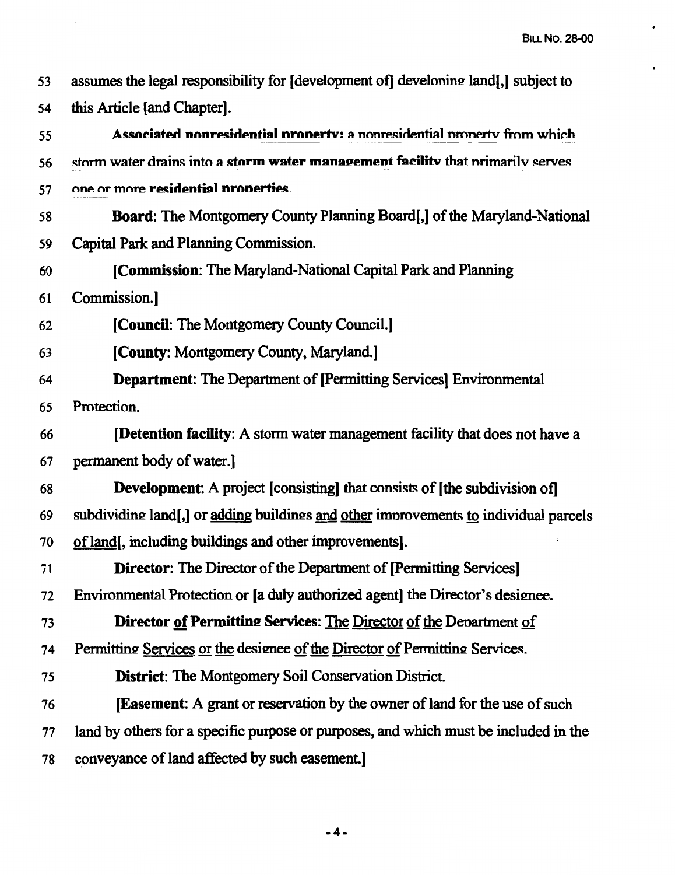$\bullet$ 

 $\bullet$ 

| 53 | assumes the legal responsibility for [development of] developing land[,] subject to  |
|----|--------------------------------------------------------------------------------------|
| 54 | this Article [and Chapter].                                                          |
| 55 | Associated nonresidential property: a nonresidential property from which             |
| 56 | storm water drains into a storm water management facility that primarily serves      |
| 57 | one or more residential properties.                                                  |
| 58 | <b>Board:</b> The Montgomery County Planning Board, of the Maryland-National         |
| 59 | Capital Park and Planning Commission.                                                |
| 60 | [Commission: The Maryland-National Capital Park and Planning                         |
| 61 | Commission.]                                                                         |
| 62 | [Council: The Montgomery County Council.]                                            |
| 63 | [County: Montgomery County, Maryland.]                                               |
| 64 | <b>Department:</b> The Department of [Permitting Services] Environmental             |
| 65 | Protection.                                                                          |
| 66 | <b>[Detention facility:</b> A storm water management facility that does not have a   |
| 67 | permanent body of water.]                                                            |
| 68 | <b>Development:</b> A project [consisting] that consists of [the subdivision of]     |
| 69 | subdividing land[,] or adding buildings and other improvements to individual parcels |
| 70 | of land, including buildings and other improvements.                                 |
| 71 | <b>Director:</b> The Director of the Department of [Permitting Services]             |
| 72 | Environmental Protection or [a duly authorized agent] the Director's designee.       |
| 73 | Director of Permitting Services: The Director of the Denartment of                   |
| 74 | Permitting Services or the designee of the Director of Permitting Services.          |
| 75 | <b>District:</b> The Montgomery Soil Conservation District.                          |
| 76 | <b>Easement:</b> A grant or reservation by the owner of land for the use of such     |
| 77 | land by others for a specific purpose or purposes, and which must be included in the |
| 78 | conveyance of land affected by such easement.]                                       |

 $\sim 10^{-1}$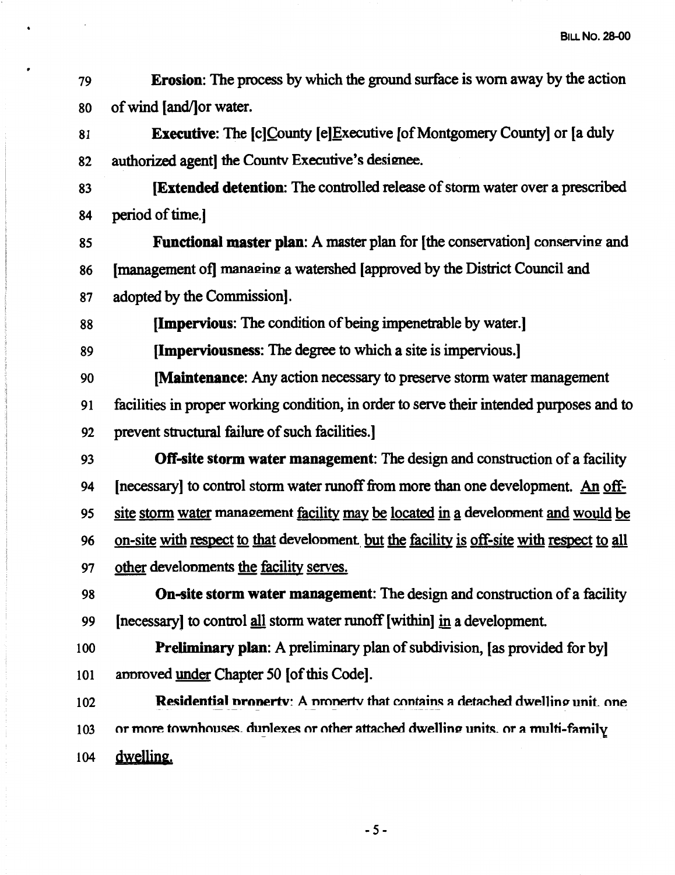79 80 **Erosion:** The process by which the ground surface is worn away by the action of wind (and/]or water.

•

81 82 **Executive:** The [c]County [e]Executive [of Montgomery County] or [a duly authorized agent] the Countv Executive's designee.

83 84 **(Extended detention:** The controlled release of storm water over a prescribed period of time.]

85 86 87 Functional master plan: A master plan for [the conservation] conserving and [management of] managing a watershed [approved by the District Council and adopted by the Commission].

88 **(Impervious:** The condition of being impenetrable by water.]

89 **(Imperviousness:** The degree to which a site is impervious.]

90 91 92 **[Maintenance:** Any action necessary to preserve storm water management facilities in proper working condition, in order to serve their intended purposes and to prevent structural failure of such facilities.]

93 94 95 96 97 **Off-site storm water management:** The design and construction of a facility [necessary] to control storm water runoff from more than one development. An offsite storm water management facility may be located in a development and would be on-site with respect to that development. but the facility is off-site with respect to all other develonments the facility serves.

98 99 **On-site storm water management:** The design and construction of a facility (necessary] to control all storm water runoff (within] in a development.

100 101 **Preliminary plan:** A preliminary plan of subdivision, [as provided for by] annroved under Chapter *50* (of this Code].

102 103 104 **Residential property:** A property that contains a detached dwelling unit, one or more townhouses, dunlexes or other attached dwelling units, or a multi-family dwelling.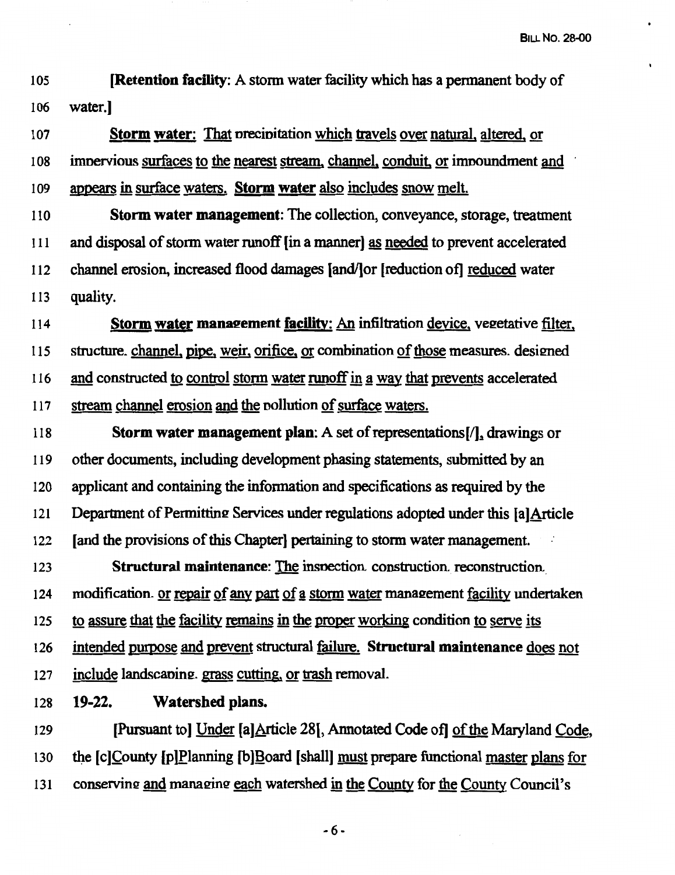105 **[Retention facility:** A storm water facility which has a permanent body of 106 water.]

107 **Storm water:** That nrecinitation which 1Iavels over natural, altered, or 108 imnervious surfaces to the nearest stream, channel, conduit or imooundment and 109 appears in surface waters. **Storm water** also includes snow melt.

<sup>11</sup>o **Storm water management:** The collection, conveyance, storage, treatment 111 and disposal of storm water runoff [in a manner] as needed to prevent accelerated 112 channel erosion, increased flood damages [and/]or [reduction of] reduced water 113 quality.

114 **Storm water management facility:** An infiltration device, vegetative filter, 115 structure. channel, pipe, weir, orifice, or combination of those measures. designed 116 and constructed to control storm water runoff in a way that prevents accelerated 117 stream channel erosion and the nollution of surface waters.

118 **Storm water management plan:** A set of representations[/J.1 drawings or 119 other documents, including development phasing statements, submitted by an 120 applicant and containing the information and specifications as required by the 121 Department of Permitting Services under regulations adopted under this [a]Article 122 [and the provisions of this Chapter) pertaining to storm water management. 123 **Structural maintenance:** The insnection construction. reconstruction

124 modification. or repair of any part of a storm water management facility undertaken 125 to assure that the facility remains in the proper working condition to serve its 126 intended purpose and prevent structural failure. **Structural maintenance** does not  $127$  include landscaping, grass cutting, or trash removal.

128 **19-22. Watershed plans.** 

129 [Pursuant to) Under [a]Article 28[, Annotated Code of] of the Maryland Code, 130 the [c]County [p]Planning [b]Board [shall] must prepare functional master plans for 131 conserving and managing each watershed in the County for the County Council's

-6-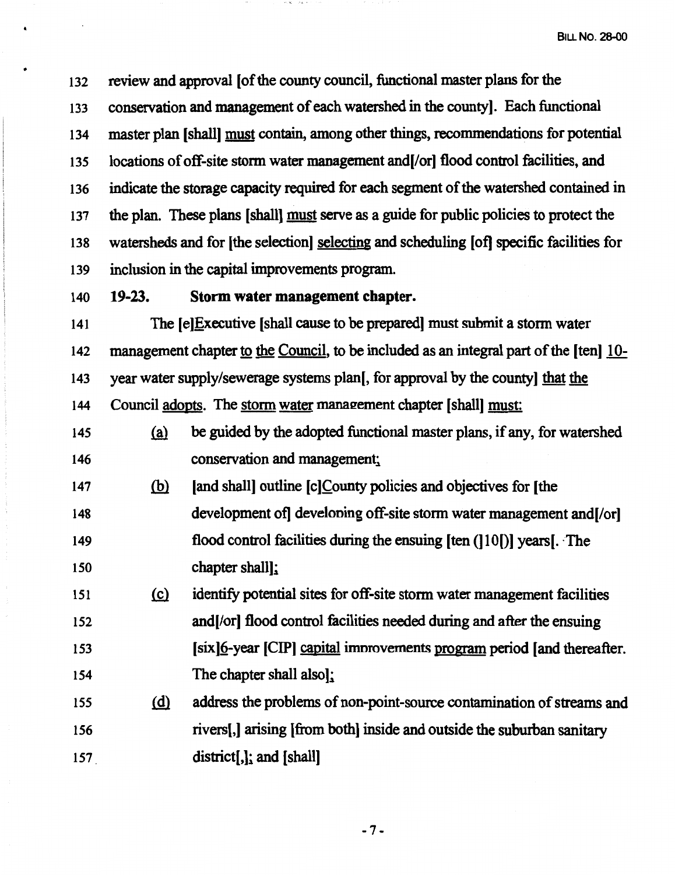132 133 134 135 136 137 138 139 review and approval [of the county council, functional master plans for the conservation and management of each watershed in the county]. Each functional master plan [shall] must contain, among other things, recommendations for potential locations of off-site storm water management and [/or] flood control facilities, and indicate the storage capacity required for each segment of the watershed contained in the plan. These plans [shall] must serve as a guide for public policies to protect the watersheds and for (the selection) selecting and scheduling [of] specific facilities for inclusion in the capital improvements program.

140 **19-23. Storm water management chapter.** 

•

141 142 143 144 The (e]Executive [shall cause to be prepared] must submit a storm water management chapter to the Council, to be included as an integral part of the [ten] 10 year water supply/sewerage systems plan[, for approval by the county] that the Council adopts. The storm water management chapter [shall] must:

- 145 146  $(a)$  be guided by the adopted functional master plans, if any, for watershed conservation and management;
- 147 148 149 150 (b) [and shall] outline [c]County policies and objectives for [the development of developing off-site storm water management and [/or] flood control facilities during the ensuing [ten (]10[)] years[. ·The chapter shall];

151 152 153 154 {g} identify potential sites for off-site storm water management facilities and(orl flood control facilities needed during and after the ensuing (six]§-year [CIP] capital imnrovements program period [and thereafter. The chapter shall also];

155 156 157 @ address the problems of non-point-source contamination of streams and rivers[,] arising [from both] inside and outside the suburban sanitary district[,]; and [shall]

-7-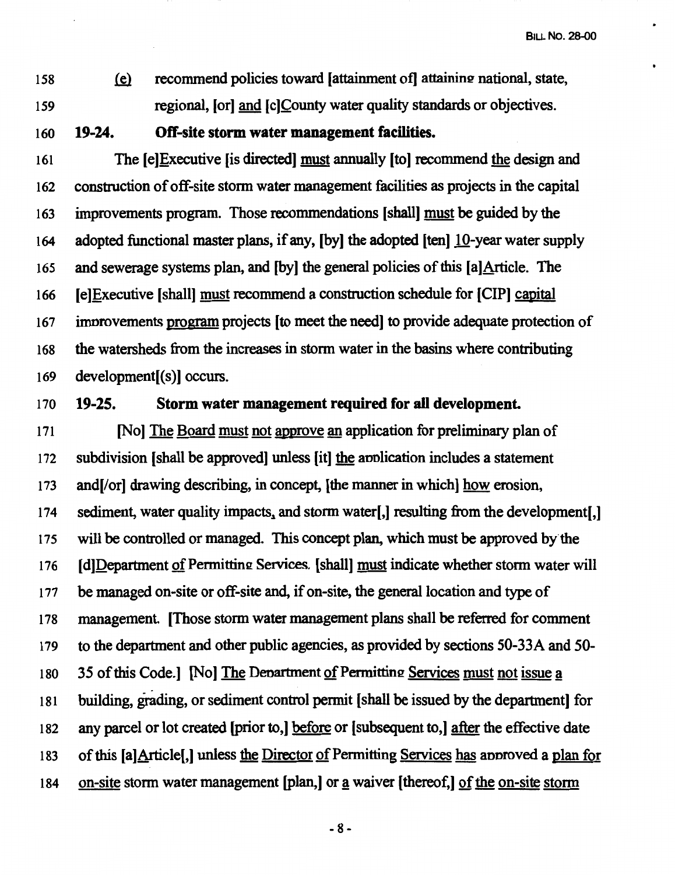158 uu recommend policies toward [attainment of] attaining national, state, 159 regional, (or] and (c]County water quality standards or objectives.

160 **19-24. Off-site storm water management facilities.** 

161 The [e]Executive [is directed] must annually [to) recommend the design and 162 construction of off-site storm water management facilities as projects in the capital 163 improvements program. Those recommendations [shall) must be guided by the 164 adopted functional master plans, if any, [by] the adopted [ten] 10-year water supply 165 and sewerage systems plan, and [by] the general policies of this [a]Article. The 166 [e]Executive [shall] must recommend a construction schedule for [CIP] capital 167 imnrovements program orojects [to meet the need] to provide adequate protection of 168 the watersheds from the increases in storm water in the basins where contributing 169 development[(s)] occurs.

### 170 **19-25. Storm water management required for all development.**

171 [No] The Board must not approve an application for preliminary plan of 172 subdivision [shall be approved] unless [it] the annlication includes a statement 173 and [/or] drawing describing, in concept, [the manner in which] how erosion, 174 sediment, water quality impacts, and storm water[,] resulting from the development[,] 175 will be controlled or managed. This concept plan, which must be approved by·the 176 **IdlDepartment of Permitting Services. [shall] must indicate whether storm water will** 177 be managed on-site or off-site and, if on-site, the general location and type of 178 management. [Those storm water management plans shall be referred for comment 179 to the department and other public agencies, as provided by sections 50-33A and *50-* 180 35 of this Code.] [No] The Department of Permitting Services must not issue a 181 building, grading, or sediment control permit (shall be issued by the department] for 182 any parcel or lot created (prior to,) before or (subsequent to,] after the effective date 183 of this [a]Article[,] unless the Director of Permitting Services has annroved a plan for 184 on-site storm water management [plan,] or a waiver [thereof,] of the on-site storm

 $-8 -$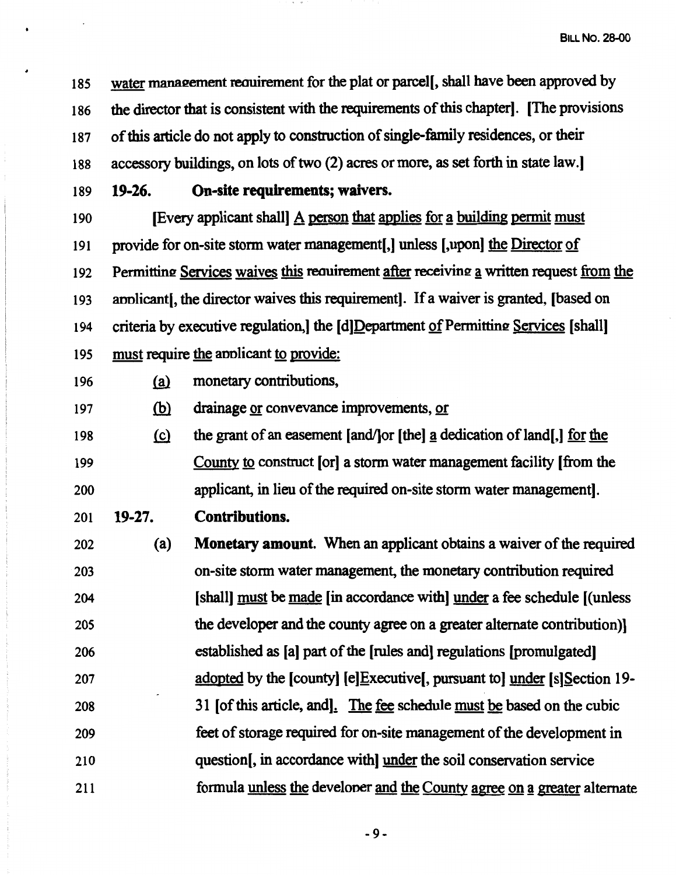185 186 187 188 water management requirement for the plat or parcel[, shall have been approved by the director that is consistent with the requirements of this chapter]. [The provisions of this article do not apply to construction of single-family residences, or their accessory buildings, on lots of two (2) acres or more, as set forth in state law.

189 **19-26. On-site requirements; waivers.** 

•

190 191 192 193 194 195 [Every applicant shall] A person that applies for a building permit must provide for on-site storm water management[,] unless [,upon] the Director of Permitting Services waives this requirement after receiving a written request from the annlicant[, the director waives this requirement]. If a waiver is granted, [based on criteria by executive regulation, the [d]Department of Permitting Services [shall] must require the applicant to provide:

- 196 (a) monetary contributions,
- 197 (b) drainage or convevance improvements, or
- 198 199 200  $~$  the grant of an easement [and/] or [the] a dedication of land[,] for the County to construct [or] a storm water management facility [from the applicant, in lieu of the required on-site storm water management).
- 201 **19-27. Contributions.**

202 203 204 205 206 207 208 209 210 211 (a) **Monetary amount.** When an applicant obtains a waiver of the required on-site storm water management, the monetary contribution required [shall] must be made [in accordance with] under a fee schedule [(unless the developer and the county agree on a greater alternate contribution)] established as [a] part of the [rules and] regulations [promulgated] adopted by the [county] [e)Executive[, pursuant to] under [s]Section 19- 31 [of this article, and]. The fee schedule must be based on the cubic feet of storage required for on-site management of the development in question[, in accordance with] under the soil conservation service formula unless the developer and the County agree on a greater alternate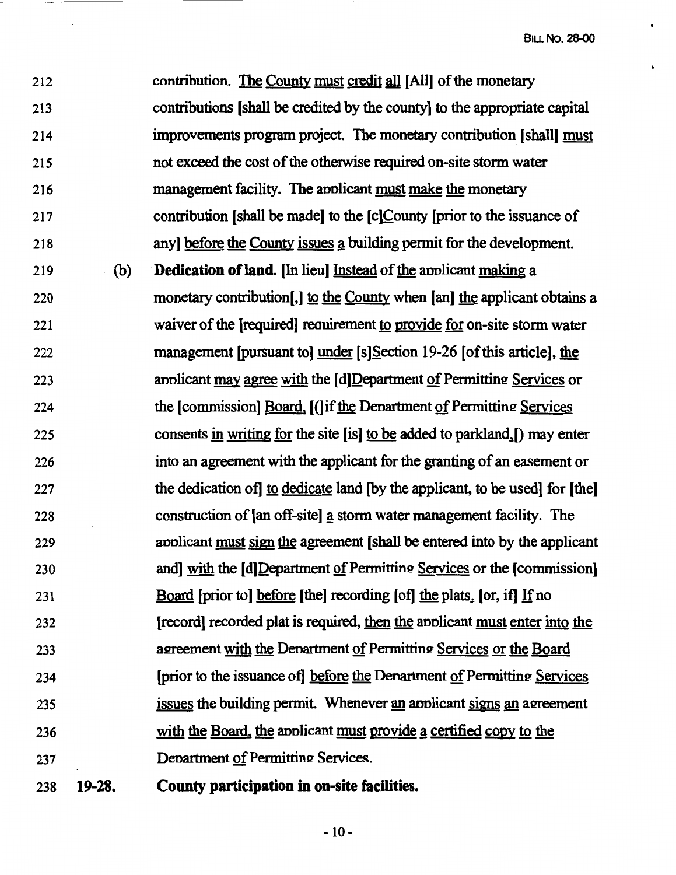212 213 214 215 216 217 218 contribution. The County must credit all [All] of the monetary contributions [shall be credited by the county] to the appropriate capital improvements program project. The monetary contribution [shall] must not exceed the cost of the otherwise required on-site storm water management facility. The applicant must make the monetary contribution [shall be made] to the [c]County [prior to the issuance of anyl before the County issues a building permit for the development. 219 (b) **Dedication of land.** [In lieu] Instead of the annlicant making a 220 monetary contribution. I to the County when [an] the applicant obtains a 221 222 223 224 225 226 227 228 229 230 231 232 233 234 235 236 237 238 **19-28.**  waiver of the [required] reauirement to provide for on-site storm water management [pursuant to] under [s]Section 19-26 [of this article], the annlicant may agree with the [d]Department of Permitting Services or the [commission] Board, [(]if the Denartment of Permitting Services consents in writing for the site  $[$ is $]$  to be added to parkland. $[$ ) may enter into an agreement with the applicant for the granting of an easement or the dedication of to dedicate land (by the applicant, to be used) for [the] construction of [an off-site] a storm water management facility. The applicant must sign the agreement [shall be entered into by the applicant and] with the [d]Department of Permitting Services or the [commission] Board [prior to] before [the] recording [of] the plats. [or, if] If no [record] recorded plat is required, then the annlicant must enter into the agreement with the Denartment of Permitting Services or the Board [prior to the issuance of] before the Denartment of Permitting Services issues the building permit. Whenever an applicant signs an agreement with the Board, the annicant must provide a certified copy to the Denartment of Permitting Services. **County participation** in **on-site facilities.**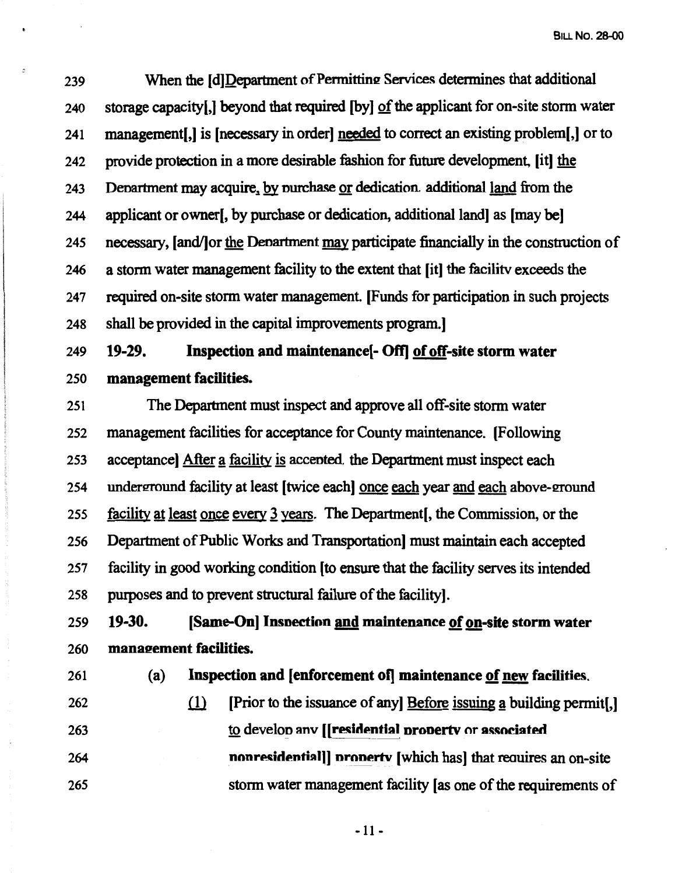239 When the [d]Department of Permitting Services determines that additional 240 storage capacity(,] beyond that required (by] of the applicant for on-site storm water 241 management[,] is [necessary in order] needed to correct an existing problem[,] or to 242 provide protection in a more desirable fashion for future development, [it] the 243 Department may acquire, by purchase or dedication additional land from the 244 applicant or owner[, by purchase or dedication, additional land] as [may be] 245 necessary, (and/]or the Denartment may participate financially in the construction of 246 a storm water management facility to the extent that (it] the facilitv exceeds the 247 required on-site storm water management. [Funds for participation in such projects 248 shall be provided in the capital improvements program.]

249 **19-29. Inspection and maintenance[- Off] of off-site storm water**  250 **management facilities.** 

251 The Department must inspect and approve all off-site storm water 252 management facilities for acceptance for County maintenance. (Following 253 acceptance] After a facility is accepted. the Department must inspect each 254 underground facility at least [twice each] once each year and each above-ground 255 facility at least once every 3 years. The Department [, the Commission, or the 256 Department of Public Works and Transportation] must maintain each accepted 257 facility in good working condition (to ensure that the facility serves its intended 258 purposes and to prevent structural failure of the facility].

259 **19-30.** [Same-On] Inspection and maintenance of on-site storm water 260 **manaeement facilities.** 

261 (a) **Inspection and [enforcement of] maintenance of new facilities.** 

262 (1) [Prior to the issuance of any] Before issuing a building permit[.] 263 264 265 to develop anv [**[residential property** or **associated** nonresidential]] property [which has] that requires an on-site storm water management facility [as one of the requirements of

 $-11 -$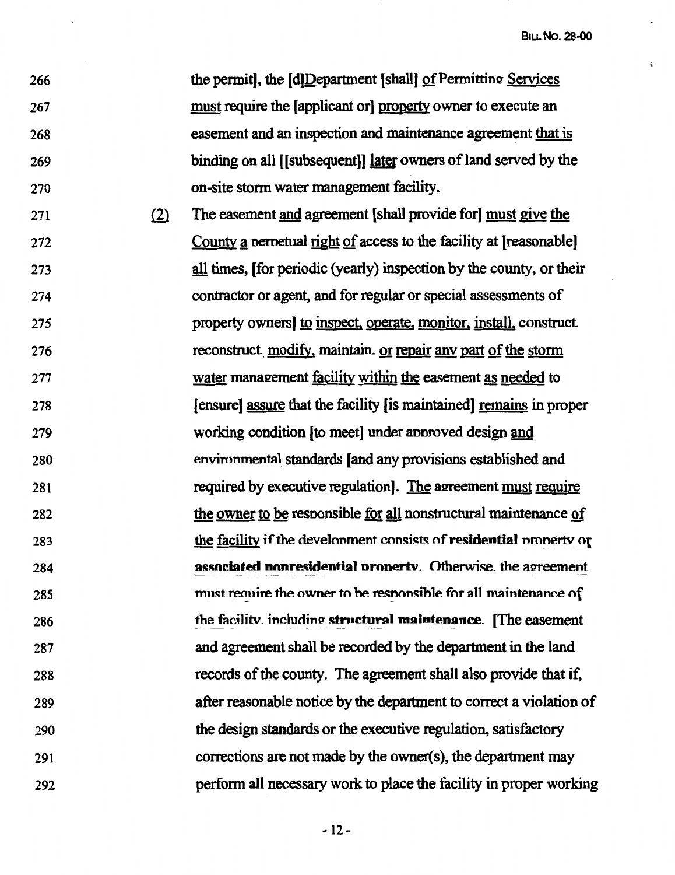266 267 268 269 270 the pennit], the [d]Department [shall] of Permitting Services must require the [applicant or] property owner to execute an easement and an inspection and maintenance agreement that is binding on all [[subsequent]] later owners of land served by the on-site storm water management facility.

271 272 273 274 275 276 277 278 279 280 281 282 283 284 285 286 287 288 289 290 291 292  $(2)$ The easement and agreement [shall provide for] must give the County a perpetual right of access to the facility at [reasonable] all times, [for periodic (yearly) inspection by the county, or their contractor or agent, and for regular or special assessments of property owners] to inspect, operate, monitor, install, construct. reconstruct. modify, maintain. or repair any part of the storm water management facility within the easement as needed to [ensure] assure that the facility [is maintained] remains in proper working condition [to meet] under annroved design and environmental standards [and any provisions established and required by executive regulation. The agreement must require the owner to be resnonsible for all nonstructural maintenance of the facility if the development consists of **residential** property or **associated nonresidential property. Otherwise. the agreement** must require the owner to be responsible for all maintenance of the facility, including structural maintenance. [The easement and agreement shall be recorded by the department in the land records of the county. The agreement shall also provide that if, after reasonable notice by the department to correct a violation of the design standards or the executive regulation, satisfactory corrections are not made by the owner(s), the department may perform all necessary work to place the facility in proper working

-12-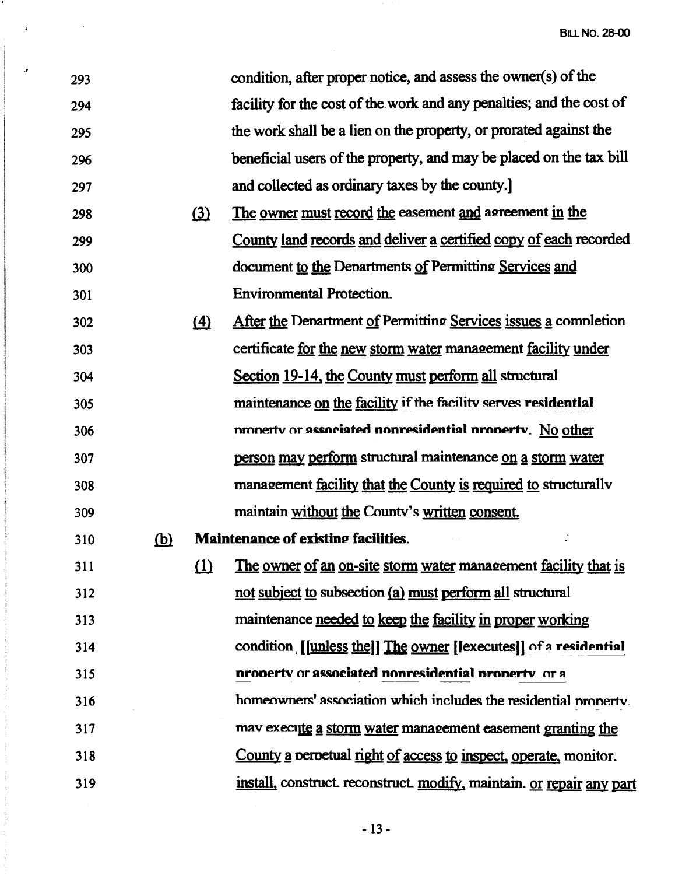| 293 |            |                   | condition, after proper notice, and assess the owner(s) of the       |
|-----|------------|-------------------|----------------------------------------------------------------------|
| 294 |            |                   | facility for the cost of the work and any penalties; and the cost of |
| 295 |            |                   | the work shall be a lien on the property, or prorated against the    |
| 296 |            |                   | beneficial users of the property, and may be placed on the tax bill  |
| 297 |            |                   | and collected as ordinary taxes by the county.                       |
| 298 |            | $\Omega$          | The owner must record the easement and agreement in the              |
| 299 |            |                   | County land records and deliver a certified copy of each recorded    |
| 300 |            |                   | document to the Departments of Permitting Services and               |
| 301 |            |                   | <b>Environmental Protection.</b>                                     |
| 302 |            | $\left( 4\right)$ | After the Department of Permitting Services issues a completion      |
| 303 |            |                   | certificate for the new storm water management facility under        |
| 304 |            |                   | Section 19-14, the County must perform all structural                |
| 305 |            |                   | maintenance on the facility if the facility serves residential       |
| 306 |            |                   | nronerty or associated nonresidential property. No other             |
| 307 |            |                   | person may perform structural maintenance on a storm water           |
| 308 |            |                   | management facility that the County is required to structurally      |
| 309 |            |                   | maintain without the County's written consent.                       |
| 310 | <u>(b)</u> |                   | <b>Maintenance of existing facilities.</b>                           |
| 311 |            | <u>(1)</u>        | The owner of an on-site storm water management facility that is      |
| 312 |            |                   | not subject to subsection (a) must perform all structural            |
| 313 |            |                   | maintenance needed to keep the facility in proper working            |
| 314 |            |                   | condition [[unless the]] The owner [fexecutes]] of a residential     |
| 315 |            |                   | property or associated nonresidential property, or a                 |
| 316 |            |                   | homeowners' association which includes the residential property.     |
| 317 |            |                   | mav execute a storm water management easement granting the           |
| 318 |            |                   | County a perpetual right of access to inspect, operate, monitor.     |
| 319 |            |                   | install, construct reconstruct modify, maintain. or repair any part  |

 $\mathbf{J}$ 

 $\overline{a}$ 

۰.

- 13 -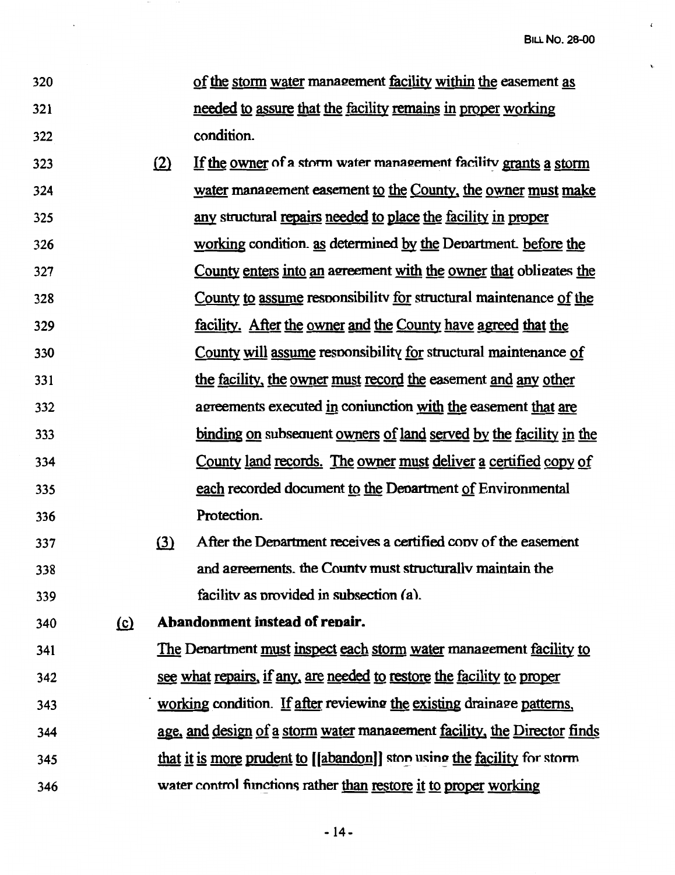- 320 321 322 of the storm water mana2ement facility within the easement as needed to assure that the facility remains in proper working condition.
- 323 324 325 326 327 328 329 330 331 332 333 334 335 336  $i$ ll If the owner of a storm water management facility grants a storm water management easement to the County, the owner must make any structural repairs needed to place the facility in proper working condition, as determined by the Department. before the County enters into an agreement with the owner that obligates the County to assume resnonsibilitv for structural maintenance of the facility. After the owner and the County have agreed that the County will assume resnonsibility for structural maintenance of the facility, the owner must record the easement and any other agreements executed in coniunction with the easement that are binding on subsequent owners of land served by the facility in the County land records. The owner must deliver a certified copy of each recorded document to the Denartment of Environmental Protection.
- 337 338 339 (3) After the Denartment receives a certified conv of the easement and agreements, the County must structurally maintain the facility as nrovided in subsection (a).

340 !2) **Abandonment instead of reoair.** 

341 The Department must inspect each storm water management facility to 342 see what repairs, if any, are needed to restore the facility to proper 343 344 345 346 working condition. If after reviewing the existing drainage patterns, age, and design of a storm water management facility, the Director finds that it is more prudent to *[[abandon]]* stop using the facility for storm water control functions rather than restore it to proper working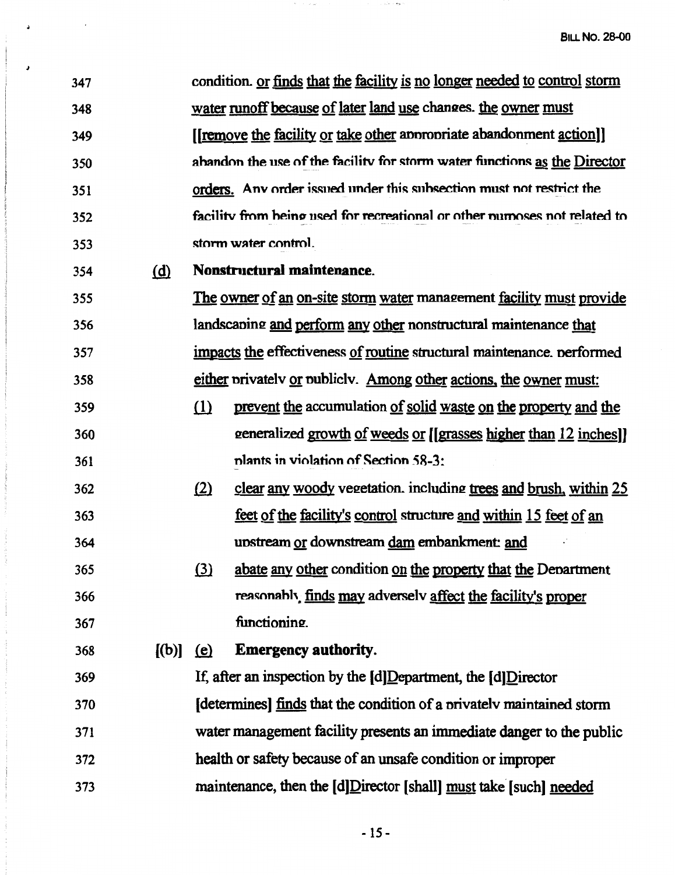347 348 349 350 351 352 353 354 355 356 357 358 359 360 361 362 363 364 365 366 367 368 369 370 371 372 373 condition. or finds that the facility is no longer needed to control storm water runoff because of later land use changes. the owner must ([remove the facility or take other annronriate abandonment action]] ahandon the use of the facility for storm water functions as the Director orders. Any order issued under this subsection must not restrict the facility from heing used for recreational or other numoses not related to storm water control. @ **Nonstruetural maintenance.**  The owner of an on-site storm water management facility must provide landscaning and perform any other nonstructural maintenance that impacts the effectiveness of routine structural maintenance. nerformed either nrivatelv or nubliclv. Among other actions, the owner must:  $i$ ll prevent the accumulation of solid waste on the property and the 2eneralized growth of weeds or [[grasses higher than 12 inches]] nlant~ in violation of Section **58-3:**   $\ell$  clear any woody vezetation. including trees and brush, within 25 feet of the facility's control structure and within 15 feet of an unstream or downstream dam embankment: and (3) abate any other condition on the property that the Department reasonahly finds may adverselv affect the facility's proper functioning. (b)] (e) **Emergency authority.** If, after an inspection by the [d]Department, the [d]Director (determines] finds that the condition of a nrivatelv maintained storm water management facility presents an immediate danger to the public health or safety because of an unsafe condition or improper maintenance, then the [d]Director [shall] must take-[such] needed

*J* 

 $-15-$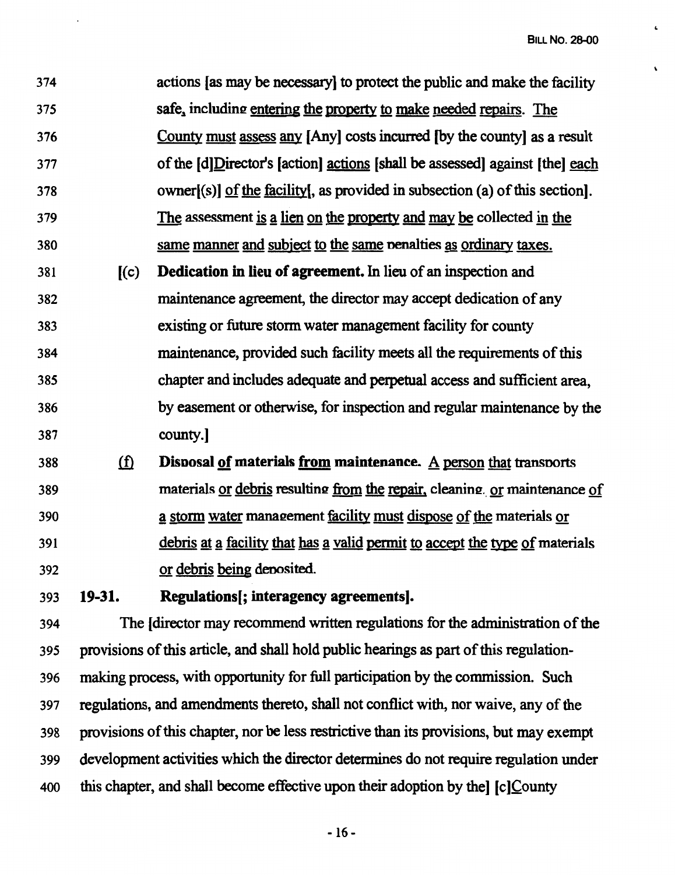$\cdot$ 

| 374 |            | actions [as may be necessary] to protect the public and make the facility    |
|-----|------------|------------------------------------------------------------------------------|
| 375 |            | safe, including entering the property to make needed repairs. The            |
| 376 |            | County must assess any [Any] costs incurred [by the county] as a result      |
| 377 |            | of the [d]Director's [action] actions [shall be assessed] against [the] each |
| 378 |            | owner[(s)] of the facility[, as provided in subsection (a) of this section]. |
| 379 |            | The assessment is a lien on the property and may be collected in the         |
| 380 |            | same manner and subject to the same penalties as ordinary taxes.             |
| 381 | (c)        | <b>Dedication in lieu of agreement.</b> In lieu of an inspection and         |
| 382 |            | maintenance agreement, the director may accept dedication of any             |
| 383 |            | existing or future storm water management facility for county                |
| 384 |            | maintenance, provided such facility meets all the requirements of this       |
| 385 |            | chapter and includes adequate and perpetual access and sufficient area,      |
| 386 |            | by easement or otherwise, for inspection and regular maintenance by the      |
| 387 |            | county.                                                                      |
| 388 | <u>(f)</u> | Disposal of materials from maintenance. A person that transports             |
| 389 |            | materials or debris resulting from the repair, cleaning or maintenance of    |
| 390 |            | a storm water management facility must dispose of the materials or           |

391 392

or debris being denosited.

393 **19-31. Regulations[; interagency agreements].** 

394 The [director may recommend written regulations for the administration of the 395 provisions of this article, and shall hold public hearings as part of this regulation-396 making process, with opportunity for full participation by the commission. Such 397 regulations, and amendments thereto, shall not conflict with, nor waive, any of the 398 provisions of this chapter, nor be less restrictive than its provisions, but may exempt 399 development activities which the director determines do not require regulation under 400 this chapter, and shall become effective upon their adoption by the] [c]County

debris at a facility that has a valid permit to accept the type of materials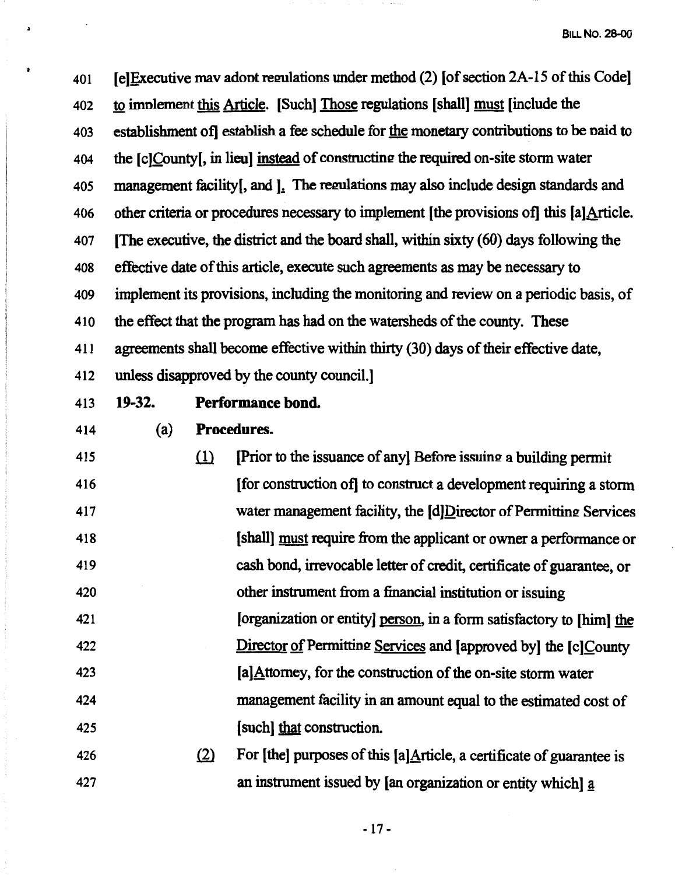401 **IE** [e] Executive mav adont regulations under method (2) [of section 2A-15 of this Code] 402 to implement this Article. [Such] Those regulations [shall] must [include the 403 establishment of] establish a fee schedule for the monetary contributions to be naid to 404 the [c]County[, in lieu] instead of constructing the required on-site storm water 405 management facility[, and ].: The remlations may also include design standards and 406 other criteria or procedures necessary to implement (the provisions of] this [a]Article. 407 [The executive, the district and the board shall, within sixty ( 60) days following the 408 effective date of this article, execute such agreements as may be necessary to 409 implement its provisions, including the monitoring and review on a periodic basis, of 410 the effect that the program has had on the watersheds of the county. These 411 agreements shall become effective within thirty (30) days of their effective date, 412 unless disapproved by the county council.]

# 413 **19-32. Performance bond.**

414 (a) **Procedures.** 

415 416 417 418 419 420 421 422 423 424 425  $\lceil$ ll  $\lceil$ Prior to the issuance of any] Before issuing a building permit [ for construction of] to construct a development requiring a storm water management facility, the [d]Director of Permitting Services [shall] must require from the applicant or owner a performance or cash bond, irrevocable letter of credit, certificate of guarantee, or other instrument from a financial institution or issuing [organization or entity] person, in a form satisfactory to [him] the Director of Permitting Services and [approved by] the [c]County [a]Attomey, for the construction of the on-site storm water management facility in an amount equal to the estimated cost of [ such] that construction.

426 427  $\delta$  For [the] purposes of this [a]Article, a certificate of guarantee is an instrument issued by [an organization or entity which] a

- 17 -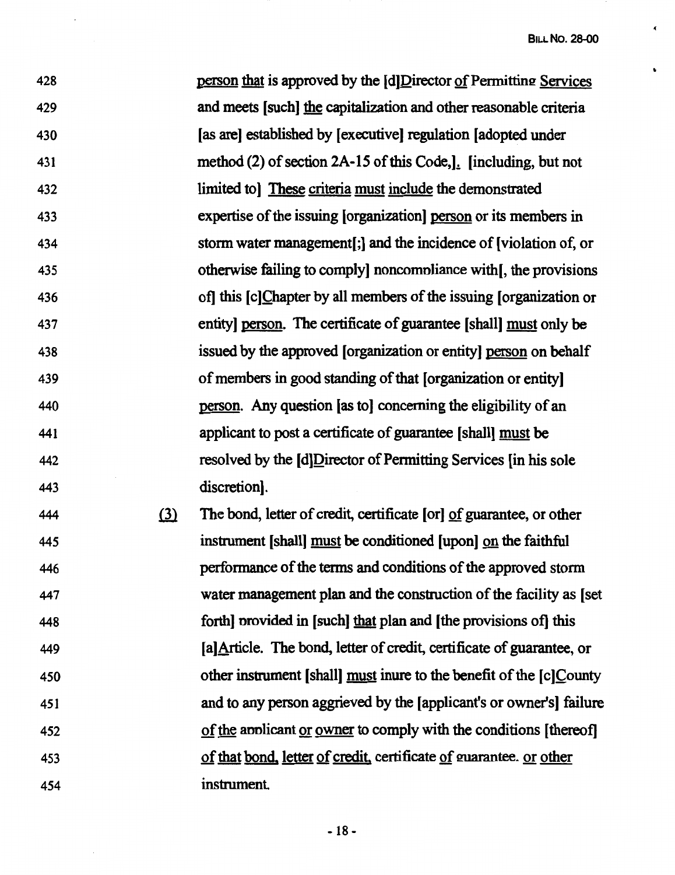$\tilde{\boldsymbol{\epsilon}}$ 

 $\mathbf{v}$ 

| 428 |     | person that is approved by the [d]Director of Permitting Services     |
|-----|-----|-----------------------------------------------------------------------|
| 429 |     | and meets [such] the capitalization and other reasonable criteria     |
| 430 |     | [as are] established by [executive] regulation [adopted under         |
| 431 |     | method (2) of section 2A-15 of this Code,]. [including, but not       |
| 432 |     | limited to [These criteria must include the demonstrated              |
| 433 |     | expertise of the issuing [organization] person or its members in      |
| 434 |     | storm water management[;] and the incidence of [violation of, or      |
| 435 |     | otherwise failing to comply noncompliance with [, the provisions      |
| 436 |     | of] this [c]Chapter by all members of the issuing [organization or    |
| 437 |     | entity] person. The certificate of guarantee [shall] must only be     |
| 438 |     | issued by the approved [organization or entity] person on behalf      |
| 439 |     | of members in good standing of that [organization or entity]          |
| 440 |     | person. Any question [as to] concerning the eligibility of an         |
| 441 |     | applicant to post a certificate of guarantee [shall] must be          |
| 442 |     | resolved by the [d]Director of Permitting Services [in his sole       |
| 443 |     | discretion].                                                          |
| 444 | (3) | The bond, letter of credit, certificate [or] of guarantee, or other   |
| 445 |     | instrument [shall] must be conditioned [upon] on the faithful         |
| 446 |     | performance of the terms and conditions of the approved storm         |
| 447 |     | water management plan and the construction of the facility as [set]   |
| 448 |     | forth] provided in [such] that plan and [the provisions of] this      |
| 449 |     | [a] Article. The bond, letter of credit, certificate of guarantee, or |
| 450 |     | other instrument [shall] must inure to the benefit of the [c]County   |
| 451 |     | and to any person aggrieved by the [applicant's or owner's] failure   |
| 452 |     | of the applicant or owner to comply with the conditions [thereof]     |
| 453 |     | of that bond, letter of credit, certificate of guarantee. or other    |

454 instrument

 $\bar{z}$ 

 $\bar{\beta}$ 

- 18 -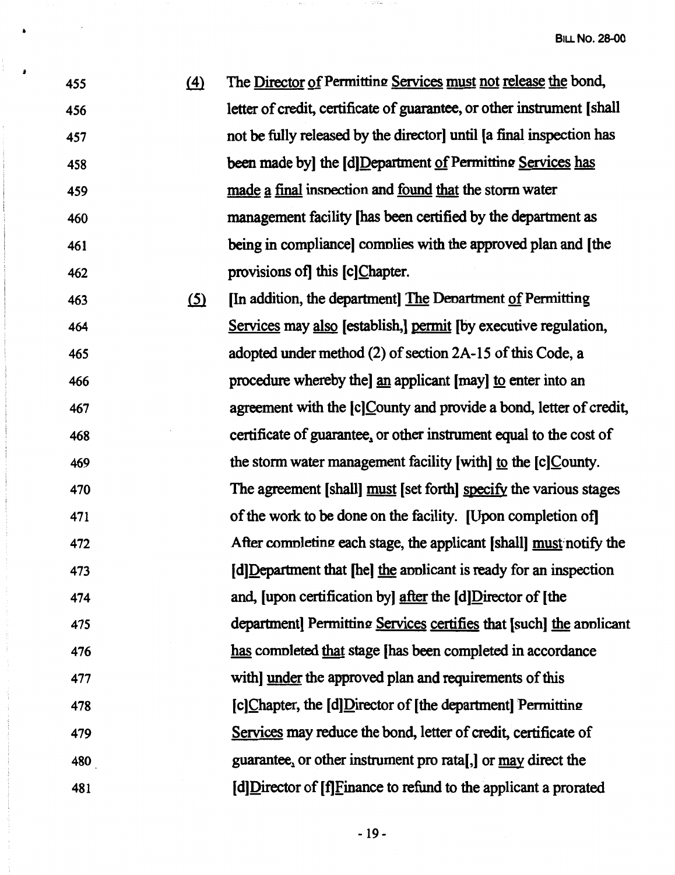| 455 | (4) | The Director of Permitting Services must not release the bond,          |
|-----|-----|-------------------------------------------------------------------------|
| 456 |     | letter of credit, certificate of guarantee, or other instrument [shall] |
| 457 |     | not be fully released by the director until [a final inspection has     |
| 458 |     | been made by] the [d]Department of Permitting Services has              |
| 459 |     | made a final inspection and found that the storm water                  |
| 460 |     | management facility [has been certified by the department as            |
| 461 |     | being in compliance] complies with the approved plan and [the           |
| 462 |     | provisions of this [c]Chapter.                                          |
|     |     |                                                                         |

463 (5) In addition, the department The Department of Permitting 464 Setvices may also [establish,] pennit [by executive regulation, 465 adopted under method (2) of section 2A-15 of this Code, a 466 procedure whereby the] an applicant [may] to enter into an 467 agreement with the [c]County and provide a bond, letter of credit, 468 certificate of guarantee, or other instrument equal to the cost of 469 the storm water management facility [with) to the [c)County. 470 The agreement [shall] must [set forth] specify the various stages 471 of the work to be done on the facility. [Upon completion of] 472 After completing each stage, the applicant [shall] must notify the 473 [d]Department that [he) the annlicant is ready for an inspection 474 and, [upon certification by) after the [d]Director of [the 475 department) Permitting Services certifies that [such] the annicant 476 has comnleted that stage [has been completed in accordance 477 with) under the approved plan and requirements of this 478  $\lceil c \rceil$  [c] Chapter, the  $\lceil d \rceil$  Director of  $\lceil \frac{d}{d} \rceil$  the department Permitting 479 Setvices may reduce the bond, letter of credit, certificate of 480 guarantee, or other instrument pro rata[,] or may direct the 481 [d)Director of [f]Finance to refund to the applicant a prorated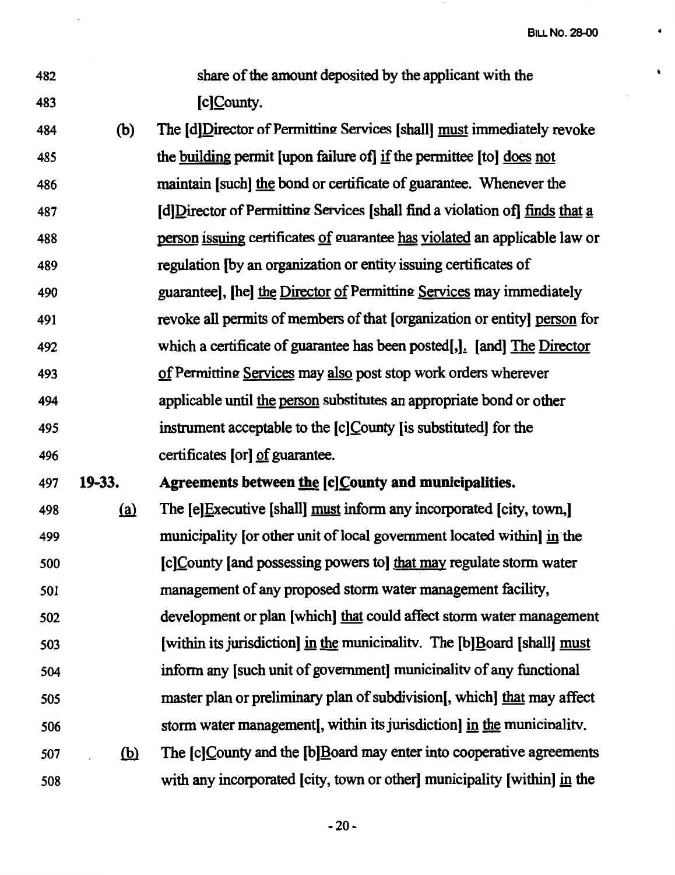| share of the amount deposited by the applicant with the |
|---------------------------------------------------------|
| $[c]$ <i>County.</i>                                    |

482

483

484 (b) The [d]Director of Permitting Services [shall] must immediately revoke 485 the building permit [upon failure of] if the permittee [to] does not 486 487 488 489 490 491 492 493 494 495 496 maintain [such] the bond or certificate of guarantee. Whenever the [d]Director of Permitting Services [shall find a violation of] finds that a person issuing certificates of guarantee has violated an applicable law or regulation [by an organization or entity issuing certificates of guaranteel. The I the Director of Permitting Services may immediately revoke all permits of members of that [organization or entity] person for which a certificate of guarantee has been posted... [and] The Director of Permitting Services may also post stop work orders wherever applicable until the person substitutes an appropriate bond or other instrument acceptable to the [c]County [is substituted] for the certificates [or] of guarantee.

### 497 **19-33. Agreements between the [c]~ounty and municipalities.**

498 ~ The [e]Executive [shall] must inform any incorporated [city, town,] 499 500 501 502 503 504 505 municipality for other unit of local government located within in the [c]County [and possessing powers to] that may regulate storm water management of any proposed storm water management facility, development or plan [which] that could affect storm water management [within its jurisdiction] in the municinalitv. The [b]Board [shall] must inform any [such unit of government] municinalitv of any functional master plan or preliminary plan of subdivision[, which] that may affect 506 storm water management[, within its jurisdiction] in the municinalitv. 507 (b) The  $[c]$ County and the  $[b]$ Board may enter into cooperative agreements 508 with any incorporated [city, town or other] municipality [within] in the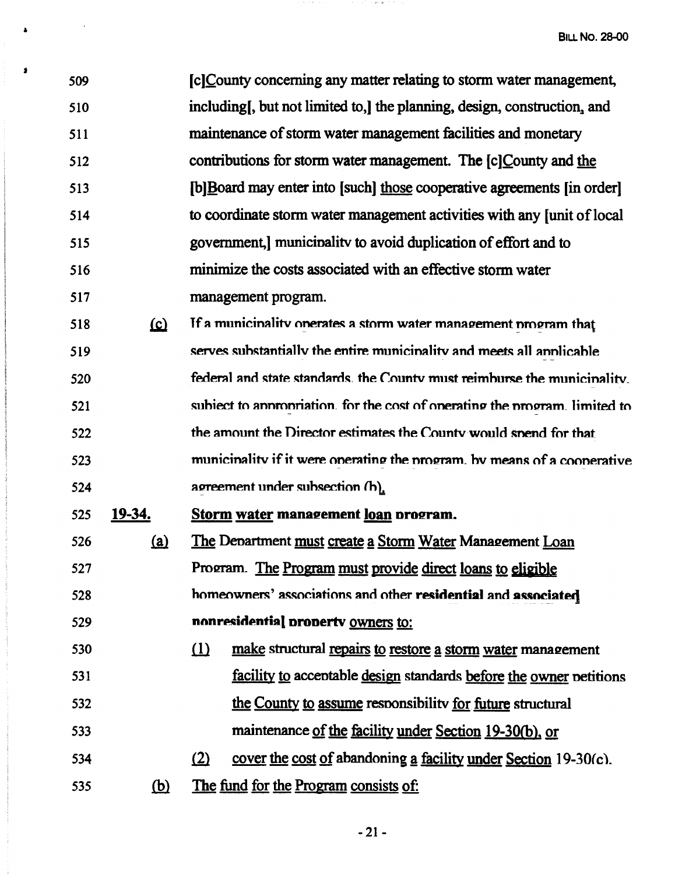IclCounty concerning any matter relating to storm water management, 509 including, but not limited to, the planning, design, construction, and 510 maintenance of storm water management facilities and monetary 511 contributions for storm water management. The [c]County and the 512 513 **IblBoard may enter into [such] those cooperative agreements [in order]** to coordinate storm water management activities with any funit of local 514 government. I municipality to avoid duplication of effort and to 515 minimize the costs associated with an effective storm water 516 517 management program.

If a municinality onerates a storm water management program that 518  $\Omega$ serves substantially the entire municipality and meets all applicable 519 520 federal and state standards, the County must reimburse the municipality. subject to appropriation, for the cost of operating the program, limited to 521 the amount the Director estimates the County would spend for that 522 municinality if it were operating the program, by means of a cooperative 523 agreement under subsection (h). 524

19-34. Storm water management loan program. 525

×

529

The Department must create a Storm Water Management Loan 526 <u>(a)</u> 527 Program. The Program must provide direct loans to eligible homeowners' associations and other residential and associated 528

### nonresidential property owners to:

- 530  $(1)$ make structural repairs to restore a storm water management facility to acceptable design standards before the owner petitions 531 the County to assume responsibility for future structural 532 maintenance of the facility under Section 19-30(b), or 533 cover the cost of abandoning a facility under Section 19-30(c).  $(2)$ 534
	-
- The fund for the Program consists of: 535 (b)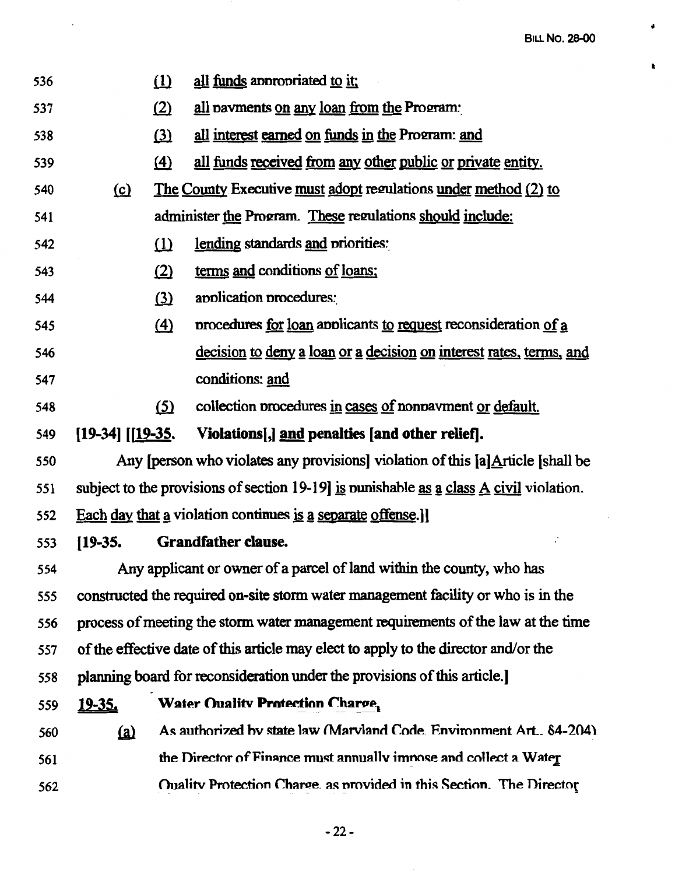$\pmb{\ast}$ 

 $\pmb{\ast}$ 

| 536 |                       | $\Omega$          | all funds appropriated to it:                                                                        |
|-----|-----------------------|-------------------|------------------------------------------------------------------------------------------------------|
| 537 |                       | (2)               | all navments on any loan from the Program:                                                           |
| 538 |                       | (3)               | all interest earned on funds in the Program: and                                                     |
| 539 |                       | $\Delta$          | all funds received from any other public or private entity.                                          |
| 540 | $\Omega$              |                   | The County Executive must adopt regulations under method (2) to                                      |
| 541 |                       |                   | administer the Program. These regulations should include:                                            |
| 542 |                       | $\Omega$          | lending standards and priorities:                                                                    |
| 543 |                       | (2)               | terms and conditions of loans:                                                                       |
| 544 |                       | (3)               | application procedures:                                                                              |
| 545 |                       | $\left( 4\right)$ | procedures for loan applicants to request reconsideration of a                                       |
| 546 |                       |                   | decision to deny a loan or a decision on interest rates, terms, and                                  |
| 547 |                       |                   | conditions: and                                                                                      |
| 548 |                       | <u>(5)</u>        | collection procedures in cases of nonpayment or default.                                             |
| 549 | $[19-34]$ $[19-35]$ . |                   | Violations[,] and penalties [and other relief].                                                      |
| 550 |                       |                   | Any [person who violates any provisions] violation of this [a] Article [shall be                     |
| 551 |                       |                   | subject to the provisions of section 19-19] is punishable as a class $\overline{A}$ civil violation. |
| 552 |                       |                   | Each day that a violation continues is a separate offense.]                                          |
| 553 | $[19-35]$             |                   | Grandfather clause.                                                                                  |
| 554 |                       |                   | Any applicant or owner of a parcel of land within the county, who has                                |
| 555 |                       |                   | constructed the required on-site storm water management facility or who is in the                    |
| 556 |                       |                   | process of meeting the storm water management requirements of the law at the time                    |
| 557 |                       |                   | of the effective date of this article may elect to apply to the director and/or the                  |
| 558 |                       |                   | planning board for reconsideration under the provisions of this article.                             |
| 559 | <u>19-35.</u>         |                   | Water Ouality Protection Charge,                                                                     |
| 560 | $\Omega$              |                   | As authorized by state law (Maryland Code. Environment Art., 84-204).                                |
| 561 |                       |                   | the Director of Finance must annually impose and collect a Water                                     |
| 562 |                       |                   | Ouality Protection Charge, as provided in this Section. The Director                                 |

 $\langle \rangle$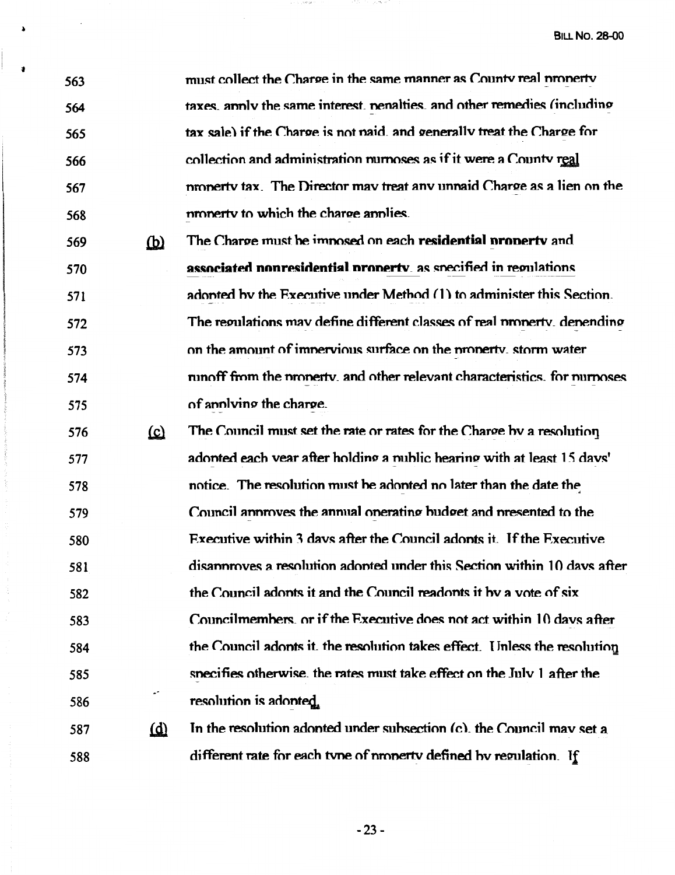| 563 |            | must collect the Charge in the same manner as County real property         |
|-----|------------|----------------------------------------------------------------------------|
| 564 |            | taxes, annly the same interest, nenalties, and other remedies (including   |
| 565 |            | tax sale) if the Charge is not naid, and generally treat the Charge for    |
| 566 |            | collection and administration nurnoses as if it were a County real         |
| 567 |            | property tax. The Director may treat any unpaid Charge as a lien on the    |
| 568 |            | property to which the charge applies.                                      |
| 569 | $\omega$   | The Charge must be imposed on each residential property and                |
| 570 |            | associated nonresidential property, as specified in regulations            |
| 571 |            | adonted by the Executive under Method (1) to administer this Section.      |
| 572 |            | The regulations may define different classes of real property, depending   |
| 573 |            | on the amount of impervious surface on the property, storm water           |
| 574 |            | runoff from the property, and other relevant characteristics, for nurmoses |
| 575 |            | of anniving the charge.                                                    |
| 576 | <u>(c)</u> | The Council must set the rate or rates for the Charge by a resolution      |
| 577 |            | adonted each vear after holding a mublic hearing with at least 15 days'    |
| 578 |            | notice. The resolution must be adonted no later than the date the          |
| 579 |            | Council annoves the annual operating budget and presented to the           |
| 580 |            | Executive within 3 days after the Council adonts it. If the Executive      |
| 581 |            | disammoves a resolution adonted under this Section within 10 days after    |
| 582 |            | the Council adonts it and the Council readonts it by a vote of six         |
| 583 |            | Councilmembers, or if the Executive does not act within 10 days after      |
| 584 |            | the Council adonts it, the resolution takes effect. Unless the resolution  |
| 585 |            | specifies otherwise, the rates must take effect on the July 1 after the    |
| 586 | ÷          | resolution is adonted.                                                     |
| 587 | $\omega$   | In the resolution adopted under subsection (c), the Council may set a      |
| 588 |            | different rate for each type of property defined by regulation. If         |

as substance of the control of the public of

 $\Delta$ 

 $\mathbf{L}$ 

 $-23-$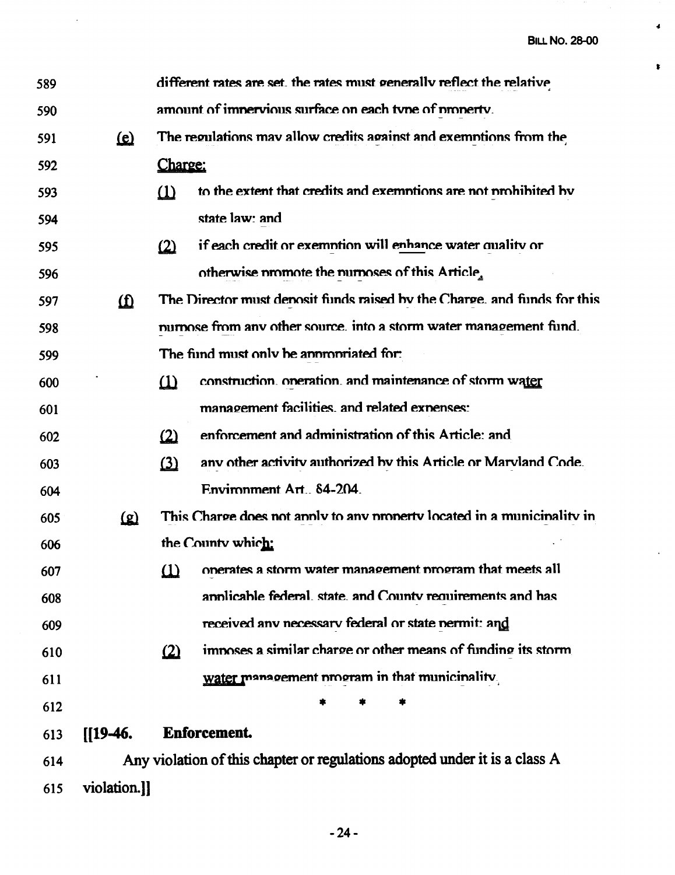ä.

 $\pmb{\mathfrak{r}}$ 

 $\ddot{\phantom{1}}$ 

| 589 |              | different rates are set, the rates must generally reflect the relative      |
|-----|--------------|-----------------------------------------------------------------------------|
| 590 |              | amount of impervious surface on each type of property.                      |
| 591 | $\Omega$     | The regulations may allow credits against and exemptions from the           |
| 592 |              | Charge:                                                                     |
| 593 |              | to the extent that credits and exemptions are not prohibited by<br>$\Omega$ |
| 594 |              | state law: and                                                              |
| 595 |              | if each credit or exemption will enhance water quality or<br>$\Omega$       |
| 596 |              | otherwise promote the numoses of this Article,                              |
| 597 | $\Omega$     | The Director must denosit funds raised by the Charge, and funds for this    |
| 598 |              | nurnose from any other source, into a storm water management fund.          |
| 599 |              | The find must only be anomoriated for:                                      |
| 600 |              | construction. oneration. and maintenance of storm water<br>$\omega$         |
| 601 |              | management facilities, and related expenses:                                |
| 602 |              | enforcement and administration of this Article: and<br>$\Omega$             |
| 603 |              | any other activity authorized by this Article or Maryland Code.<br>$\Omega$ |
| 604 |              | Environment Art., 84-204.                                                   |
| 605 | <u>(a)</u>   | This Charge does not annly to any nonerty located in a municinality in      |
| 606 |              | the County which:                                                           |
| 607 |              | (1) operates a storm water management program that meets all                |
| 608 |              | annlicable federal, state, and County requirements and has                  |
| 609 |              | received any necessary federal or state nermit: and                         |
| 610 |              | imposes a similar charge or other means of funding its storm<br>(2)         |
| 611 |              | water management program in that municinality                               |
| 612 |              |                                                                             |
| 613 | $[19-46]$    | Enforcement.                                                                |
| 614 |              | Any violation of this chapter or regulations adopted under it is a class A  |
| 615 | violation.]] |                                                                             |

 $\sim 10^{-11}$ 

 $-24-$